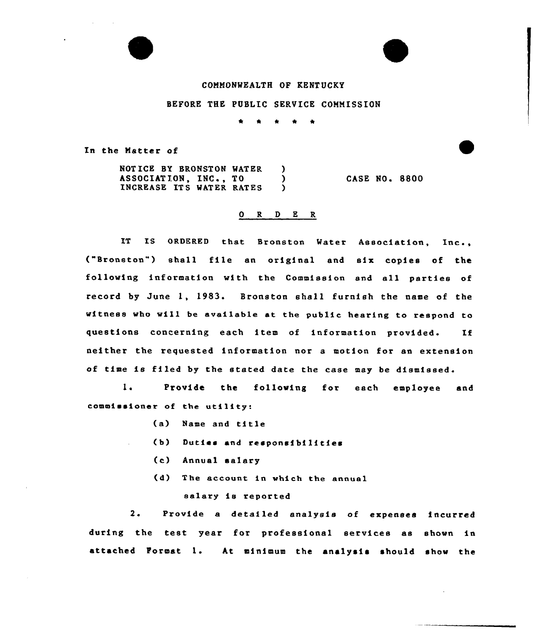## COMMONWEALTH OF KENTUCKY

BEFORE THE PUBLIC SERVICE COMNISSION

In the Matter of

NOTICE BY BRONSTON WATER )<br>ASSOCIATION, INC., TO ASSOCIATION, INC., TO (ASSOCIATION, INC., TO INCREASE ITS WATER RATES CASE NO <sup>~</sup> 8800

## 0 R <sup>D</sup> E R

IT IS ORDERED that Bronston Water Association, Inc., ("Bronston") shall file an original and six copies of the following information with the Commission and all parties of record by June 1, 1983. Bronston shall furnish the name of the witness who will be svsilsb1e at the public hearing to respond to questions concerning each item of information provided. If neither the requested information nor a motion for an extension of time is filed by the stated date the case may be dismissed.

 $1.$ Provide the following for each employee and commissioner of the utility:

- (a) Name and title
- (b) Duties and responsibilities
- (c) Annual salary
- (d) The account in which the annual salary is reported

Provide a detailed analysis of expenses incurred  $2.1$ during the test year for professional services as shown in attached Format 1. At minimum the analysis should show the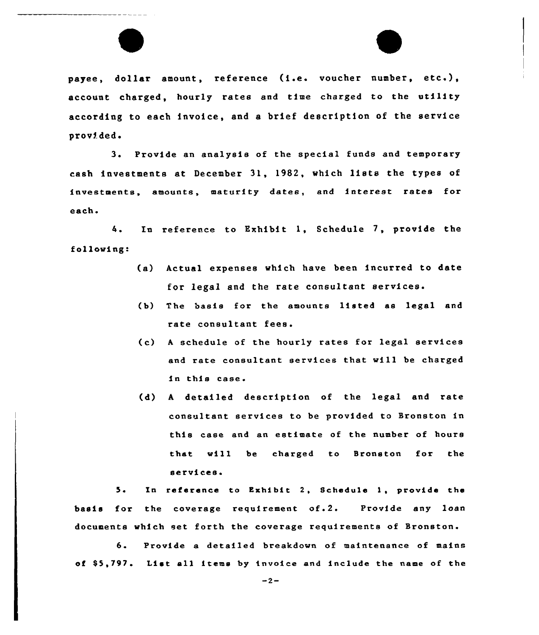

payee, dollar amount, reference (i.e. voucher number, etc.), account charged, hourly rates and time charged to the utility according to each invoice, and a brief description of the service provided.

3. Provide an analysis of the special funds and temporary cash investments at December 31, 1982, which lists the types of investments, amounts, maturity dates, and interest rates for each.

4. En reference to Exhibit 1, Schedule 7, provide the following:

- (a) Actual expenses which have been incurred to date for legal and the rate consultant services.
- (b) The basis far the amounts listed as legal and rate consultant fees.
- (c) <sup>A</sup> schedule of the hourly rates for legal services and rate consultant services that will be charged in this case.
- (d) <sup>A</sup> detailed description of the legal and rate consultant services to be provided to Sronston in this ease and an estimate of the number of hours that will be charged to Sronston for the services.

5. In reference to Exhibit 2, Schedule 1, provide the basis for the coverage requirement of.2. Provide any loan documents which set forth the coverage requirements of Bronston.

6. Provide <sup>a</sup> detailed breakdown of maintenance of mains of \$5,797. List all items by invoice and include the name of the

 $-2-$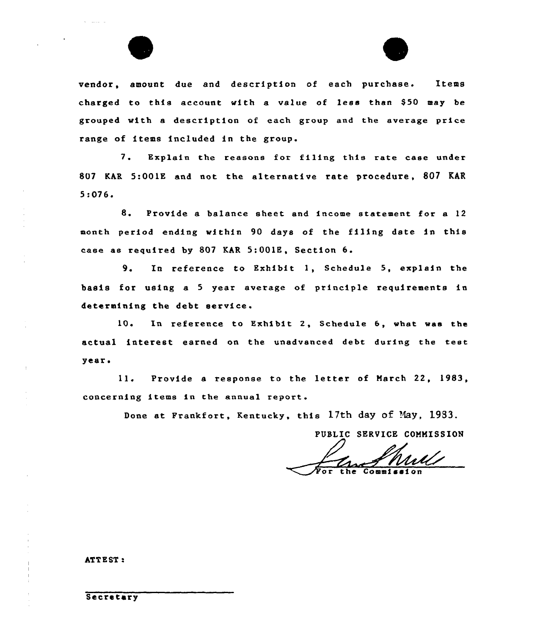

vendor, amount due and description of each purchase. Items charged to this account with a value of less than \$50 may be grouped with a description of each group and the average price range of items included in the group.

7. Explain the reasons for filing this rate case under 807 KAR 5:001K and not the alternative rate procedure, 807 KAR 5:076.

8. Provide a balance sheet and income statement for <sup>a</sup> <sup>12</sup> month period ending within 90 days of the filing date in this case as required by 807 KAR 5:001E, Section 6.

9. In reference to Exhibit 1, Schedule 5, explain the basis for using a <sup>5</sup> year average of principle requirements in determining the debt service.

10. In reference to Exhibit 2, Schedule 6, what was the actual interest earned on the unadvanced debt during the test year <sup>~</sup>

11. Provide <sup>a</sup> response to the letter of March 22, 1983, concerning items in the annual report.

Done at Prankfort, Kentucky, this 17th day of Nay, 1933.

PUBLIC SERVICE COMMISSION

ATTEST:

Secretary